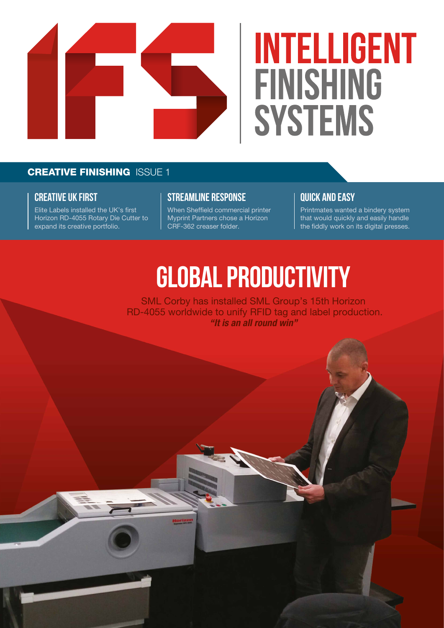

# **INTELLIGENT FINISHING SYSTEMS**

### **CREATIVE FINISHING ISSUE 1**

### **creative uk first**

Elite Labels installed the UK's first Horizon RD-4055 Rotary Die Cutter to expand its creative portfolio.

### **streamline response**

When Sheffield commercial printer Myprint Partners chose a Horizon CRF-362 creaser folder.

### **QUICK and easy**

Printmates wanted a bindery system that would quickly and easily handle the fiddly work on its digital presses.

## **GLOBAL PRODUCTIVITY**

SML Corby has installed SML Group's 15th Horizon RD-4055 worldwide to unify RFID tag and label production. *"It is an all round win"*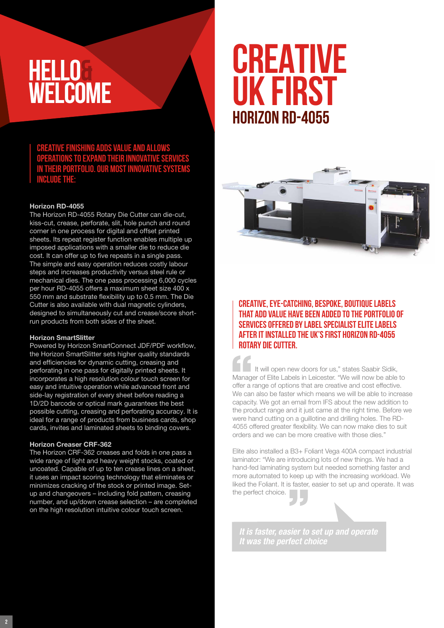### **HELLO& WELCOME**

**Creative finishing adds value and allows operations to expand their innovative services IN their portfolio. Our most innovative systems include the:**

#### Horizon RD-4055

The Horizon RD-4055 Rotary Die Cutter can die-cut, kiss-cut, crease, perforate, slit, hole punch and round corner in one process for digital and offset printed sheets. Its repeat register function enables multiple up imposed applications with a smaller die to reduce die cost. It can offer up to five repeats in a single pass. The simple and easy operation reduces costly labour steps and increases productivity versus steel rule or mechanical dies. The one pass processing 6,000 cycles per hour RD-4055 offers a maximum sheet size 400 x 550 mm and substrate flexibility up to 0.5 mm. The Die Cutter is also available with dual magnetic cylinders, designed to simultaneously cut and crease/score shortrun products from both sides of the sheet.

#### Horizon SmartSlitter

Powered by Horizon SmartConnect JDF/PDF workflow, the Horizon SmartSlitter sets higher quality standards and efficiencies for dynamic cutting, creasing and perforating in one pass for digitally printed sheets. It incorporates a high resolution colour touch screen for easy and intuitive operation while advanced front and side-lay registration of every sheet before reading a 1D/2D barcode or optical mark guarantees the best possible cutting, creasing and perforating accuracy. It is ideal for a range of products from business cards, shop cards, invites and laminated sheets to binding covers.

#### Horizon Creaser CRF-362

The Horizon CRF-362 creases and folds in one pass a wide range of light and heavy weight stocks, coated or uncoated. Capable of up to ten crease lines on a sheet, it uses an impact scoring technology that eliminates or minimizes cracking of the stock or printed image. Setup and changeovers – including fold pattern, creasing number, and up/down crease selection – are completed on the high resolution intuitive colour touch screen.

### **Horizon RD-4055 CREATIVE UK FIRST**



#### Creative, eye-catching, bespoke, boutique labels that add value have been added to the portfolio of services offered by label specialist Elite Labels after it installed the UK's first Horizon RD-4055 Rotary Die Cutter.

It will open new doors for us," states Saabir Sidik, Manager of Elite Labels in Leicester. "We will now be able to offer a range of options that are creative and cost effective. We can also be faster which means we will be able to increase capacity. We got an email from IFS about the new addition to the product range and it just came at the right time. Before we were hand cutting on a guillotine and drilling holes. The RD-4055 offered greater flexibility. We can now make dies to suit orders and we can be more creative with those dies."

Elite also installed a B3+ Foliant Vega 400A compact industrial laminator: "We are introducing lots of new things. We had a hand-fed laminating system but needed something faster and more automated to keep up with the increasing workload. We liked the Foliant. It is faster, easier to set up and operate. It was the perfect choice.

*It was the perfect choice*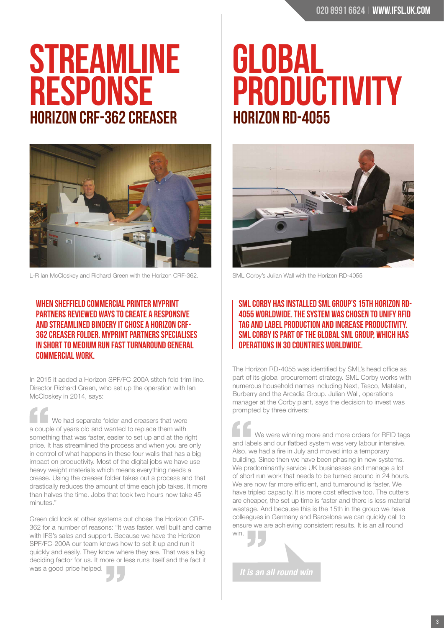## **Horizon CRF-362 Creaser STREAMLINE RESPONSE**



L-R Ian McCloskey and Richard Green with the Horizon CRF-362. SML Corby's Julian Wall with the Horizon RD-4055

### When Sheffield commercial printer Myprint Partners reviewed ways to create a responsive and streamlined bindery it chose a Horizon CRF-362 creaser folder. Myprint Partners specialises in short to medium run fast turnaround general commercial work.

In 2015 it added a Horizon SPF/FC-200A stitch fold trim line. Director Richard Green, who set up the operation with Ian McCloskey in 2014, says:

We had separate folder and creasers that were a couple of years old and wanted to replace them with something that was faster, easier to set up and at the right price. It has streamlined the process and when you are only in control of what happens in these four walls that has a big impact on productivity. Most of the digital jobs we have use heavy weight materials which means everything needs a crease. Using the creaser folder takes out a process and that drastically reduces the amount of time each job takes. It more than halves the time. Jobs that took two hours now take 45 minutes."

Green did look at other systems but chose the Horizon CRF-362 for a number of reasons: "It was faster, well built and came with IFS's sales and support. Because we have the Horizon SPF/FC-200A our team knows how to set it up and run it quickly and easily. They know where they are. That was a big deciding factor for us. It more or less runs itself and the fact it was a good price helped.

### **Horizon RD-4055 Global productivity**



#### SML Corby has installed SML Group's 15th Horizon RD-4055 worldwide. The system was chosen to unify RFID tag and label production and increase productivity. SML Corby is part of the global SML Group, which has operations in 30 countries worldwide.

The Horizon RD-4055 was identified by SML's head office as part of its global procurement strategy. SML Corby works with numerous household names including Next, Tesco, Matalan, Burberry and the Arcadia Group. Julian Wall, operations manager at the Corby plant, says the decision to invest was prompted by three drivers:

We were winning more and more orders for RFID tags and labels and our flatbed system was very labour intensive. Also, we had a fire in July and moved into a temporary building. Since then we have been phasing in new systems. We predominantly service UK businesses and manage a lot of short run work that needs to be turned around in 24 hours. We are now far more efficient, and turnaround is faster. We have tripled capacity. It is more cost effective too. The cutters are cheaper, the set up time is faster and there is less material wastage. And because this is the 15th in the group we have colleagues in Germany and Barcelona we can quickly call to ensure we are achieving consistent results. It is an all round win.